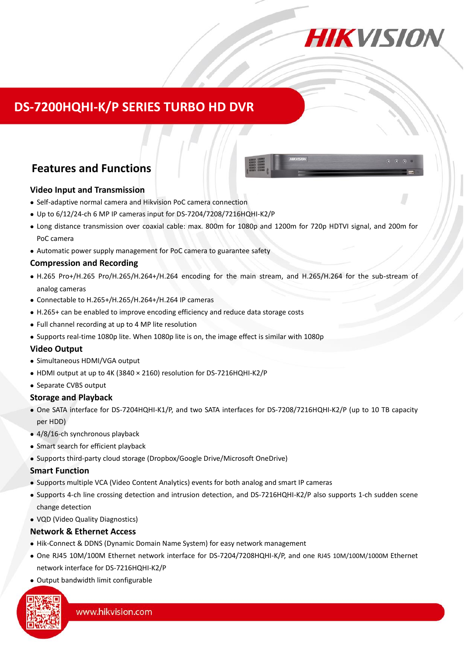

## **DS-7200HQHI-K/P [SERIES TURBO HD DVR](https://www.ultramaster.ro/supraveghere-video.html)**

## **Features and Functions**

#### **Video Input and Transmission**

- Self-adaptive normal camera and Hikvision PoC camera connection
- Up to 6/12/24-ch 6 MP IP cameras input for DS-7204/7208/7216HQHI-K2/P
- Long distance transmission over coaxial cable: max. 800m for 1080p and 1200m for 720p HDTVI signal, and 200m for PoC camera
- Automatic power supply management for PoC camera to guarantee safety

#### **Compression and Recording**

- H.265 Pro+/H.265 Pro/H.265/H.264+/H.264 encoding for the main stream, and H.265/H.264 for the sub-stream of analog cameras
- Connectable to H.265+/H.265/H.264+/H.264 IP cameras
- H.265+ can be enabled to improve encoding efficiency and reduce data storage costs
- Full channel recording at up to 4 MP lite resolution
- Supports real-time 1080p lite. When 1080p lite is on, the image effect is similar with 1080p

### **Video Output**

- Simultaneous HDMI/VGA output
- HDMI output at up to 4K (3840 × 2160) resolution for DS-7216HQHI-K2/P
- Separate CVBS output

#### **Storage and Playback**

- One SATA interface for DS-7204HQHI-K1/P, and two SATA interfaces for DS-7208/7216HQHI-K2/P (up to 10 TB capacity per HDD)
- 4/8/16-ch synchronous playback
- Smart search for efficient playback
- Supports third-party cloud storage (Dropbox/Google Drive/Microsoft OneDrive)

#### **Smart Function**

- Supports multiple VCA (Video Content Analytics) events for both analog and smart IP cameras
- Supports 4-ch line crossing detection and intrusion detection, and DS-7216HQHI-K2/P also supports 1-ch sudden scene change detection
- VQD (Video Quality Diagnostics)

#### **Network & Ethernet Access**

- Hik-Connect & DDNS (Dynamic Domain Name System) for easy network management
- One RJ45 10M/100M Ethernet network interface for DS-7204/7208HQHI-K/P, and one RJ45 10M/100M/1000M Ethernet network interface for DS-7216HQHI-K2/P
- Output bandwidth limit configurable

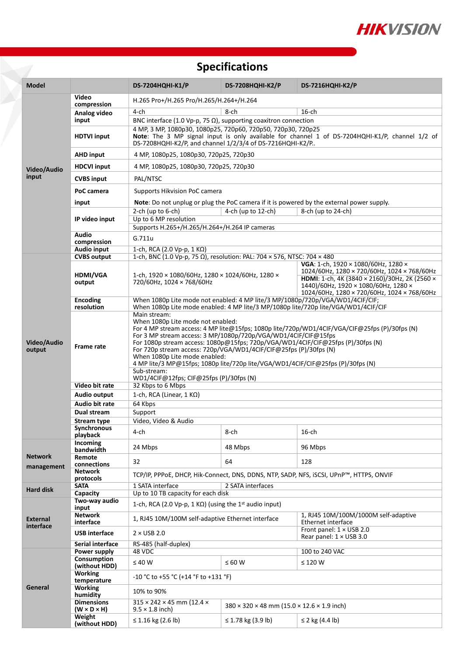

# **Specifications**

| <b>Model</b>          |                                              | <b>DS-7204HQHI-K1/P</b>                                                                                                                                                                                                                                                                                                                                                                                                                                                                         | <b>DS-7208HQHI-K2/P</b>                                                                                                                      | <b>DS-7216HQHI-K2/P</b>                                                                                                                                                     |  |  |  |  |
|-----------------------|----------------------------------------------|-------------------------------------------------------------------------------------------------------------------------------------------------------------------------------------------------------------------------------------------------------------------------------------------------------------------------------------------------------------------------------------------------------------------------------------------------------------------------------------------------|----------------------------------------------------------------------------------------------------------------------------------------------|-----------------------------------------------------------------------------------------------------------------------------------------------------------------------------|--|--|--|--|
|                       | Video                                        | H.265 Pro+/H.265 Pro/H.265/H.264+/H.264                                                                                                                                                                                                                                                                                                                                                                                                                                                         |                                                                                                                                              |                                                                                                                                                                             |  |  |  |  |
| Video/Audio<br>input  | compression                                  | 4-ch                                                                                                                                                                                                                                                                                                                                                                                                                                                                                            | 8-ch                                                                                                                                         | $16$ -ch                                                                                                                                                                    |  |  |  |  |
|                       | Analog video<br>input                        | BNC interface (1.0 Vp-p, 75 $\Omega$ ), supporting coaxitron connection                                                                                                                                                                                                                                                                                                                                                                                                                         |                                                                                                                                              |                                                                                                                                                                             |  |  |  |  |
|                       | <b>HDTVI input</b>                           | 4 MP, 3 MP, 1080p30, 1080p25, 720p60, 720p50, 720p30, 720p25<br>Note: The 3 MP signal input is only available for channel 1 of DS-7204HQHI-K1/P, channel 1/2 of<br>DS-7208HQHI-K2/P, and channel 1/2/3/4 of DS-7216HQHI-K2/P                                                                                                                                                                                                                                                                    |                                                                                                                                              |                                                                                                                                                                             |  |  |  |  |
|                       | <b>AHD input</b>                             | 4 MP, 1080p25, 1080p30, 720p25, 720p30                                                                                                                                                                                                                                                                                                                                                                                                                                                          |                                                                                                                                              |                                                                                                                                                                             |  |  |  |  |
|                       | <b>HDCVI input</b>                           | 4 MP, 1080p25, 1080p30, 720p25, 720p30                                                                                                                                                                                                                                                                                                                                                                                                                                                          |                                                                                                                                              |                                                                                                                                                                             |  |  |  |  |
|                       | <b>CVBS input</b>                            | PAL/NTSC                                                                                                                                                                                                                                                                                                                                                                                                                                                                                        |                                                                                                                                              |                                                                                                                                                                             |  |  |  |  |
|                       | PoC camera                                   | Supports Hikvision PoC camera                                                                                                                                                                                                                                                                                                                                                                                                                                                                   |                                                                                                                                              |                                                                                                                                                                             |  |  |  |  |
|                       | input                                        | Note: Do not unplug or plug the PoC camera if it is powered by the external power supply.                                                                                                                                                                                                                                                                                                                                                                                                       |                                                                                                                                              |                                                                                                                                                                             |  |  |  |  |
|                       | IP video input                               | 4-ch (up to 12-ch)<br>2-ch (up to $6$ -ch)<br>$8$ -ch (up to 24-ch)                                                                                                                                                                                                                                                                                                                                                                                                                             |                                                                                                                                              |                                                                                                                                                                             |  |  |  |  |
|                       |                                              | Up to 6 MP resolution                                                                                                                                                                                                                                                                                                                                                                                                                                                                           |                                                                                                                                              |                                                                                                                                                                             |  |  |  |  |
|                       | Audio                                        | Supports H.265+/H.265/H.264+/H.264 IP cameras                                                                                                                                                                                                                                                                                                                                                                                                                                                   |                                                                                                                                              |                                                                                                                                                                             |  |  |  |  |
|                       | compression                                  | G.711u                                                                                                                                                                                                                                                                                                                                                                                                                                                                                          |                                                                                                                                              |                                                                                                                                                                             |  |  |  |  |
|                       | Audio input                                  | 1-ch, RCA (2.0 Vp-p, 1 KΩ)                                                                                                                                                                                                                                                                                                                                                                                                                                                                      |                                                                                                                                              |                                                                                                                                                                             |  |  |  |  |
|                       | <b>CVBS</b> output                           | 1-ch, BNC (1.0 Vp-p, 75 Ω), resolution: PAL: 704 × 576, NTSC: 704 × 480                                                                                                                                                                                                                                                                                                                                                                                                                         |                                                                                                                                              |                                                                                                                                                                             |  |  |  |  |
|                       | <b>HDMI/VGA</b><br>output                    | 1-ch, 1920 × 1080/60Hz, 1280 × 1024/60Hz, 1280 ×<br>720/60Hz, 1024 × 768/60Hz                                                                                                                                                                                                                                                                                                                                                                                                                   |                                                                                                                                              | VGA: 1-ch, 1920 × 1080/60Hz, 1280 ×<br>1024/60Hz, 1280 × 720/60Hz, 1024 × 768/60Hz<br>HDMI: 1-ch, 4K (3840 × 2160)/30Hz, 2K (2560 ×<br>1440)/60Hz, 1920 × 1080/60Hz, 1280 × |  |  |  |  |
|                       | <b>Encoding</b>                              | 1024/60Hz, 1280 × 720/60Hz, 1024 × 768/60Hz<br>When 1080p Lite mode not enabled: 4 MP lite/3 MP/1080p/720p/VGA/WD1/4CIF/CIF;                                                                                                                                                                                                                                                                                                                                                                    |                                                                                                                                              |                                                                                                                                                                             |  |  |  |  |
|                       | resolution                                   | When 1080p Lite mode enabled: 4 MP lite/3 MP/1080p lite/720p lite/VGA/WD1/4CIF/CIF<br>Main stream:                                                                                                                                                                                                                                                                                                                                                                                              |                                                                                                                                              |                                                                                                                                                                             |  |  |  |  |
| Video/Audio<br>output | <b>Frame rate</b>                            | When 1080p Lite mode not enabled:<br>For 4 MP stream access: 4 MP lite@15fps; 1080p lite/720p/WD1/4CIF/VGA/CIF@25fps (P)/30fps (N)<br>For 3 MP stream access: 3 MP/1080p/720p/VGA/WD1/4CIF/CIF@15fps<br>For 1080p stream access: 1080p@15fps; 720p/VGA/WD1/4CIF/CIF@25fps (P)/30fps (N)<br>For 720p stream access: 720p/VGA/WD1/4CIF/CIF@25fps (P)/30fps (N)<br>When 1080p Lite mode enabled:<br>4 MP lite/3 MP@15fps; 1080p lite/720p lite/VGA/WD1/4CIF/CIF@25fps (P)/30fps (N)<br>Sub-stream: |                                                                                                                                              |                                                                                                                                                                             |  |  |  |  |
|                       | Video bit rate                               | WD1/4CIF@12fps; CIF@25fps (P)/30fps (N)<br>32 Kbps to 6 Mbps                                                                                                                                                                                                                                                                                                                                                                                                                                    |                                                                                                                                              |                                                                                                                                                                             |  |  |  |  |
|                       | Audio output                                 | 1-ch, RCA (Linear, $1 K\Omega$ )                                                                                                                                                                                                                                                                                                                                                                                                                                                                |                                                                                                                                              |                                                                                                                                                                             |  |  |  |  |
|                       | Audio bit rate                               | 64 Kbps                                                                                                                                                                                                                                                                                                                                                                                                                                                                                         |                                                                                                                                              |                                                                                                                                                                             |  |  |  |  |
|                       | Dual stream                                  | Support                                                                                                                                                                                                                                                                                                                                                                                                                                                                                         |                                                                                                                                              |                                                                                                                                                                             |  |  |  |  |
|                       | Video, Video & Audio<br>Stream type          |                                                                                                                                                                                                                                                                                                                                                                                                                                                                                                 |                                                                                                                                              |                                                                                                                                                                             |  |  |  |  |
|                       | Synchronous<br>playback                      | 4-ch                                                                                                                                                                                                                                                                                                                                                                                                                                                                                            | 8-ch                                                                                                                                         | $16$ -ch                                                                                                                                                                    |  |  |  |  |
|                       | Incoming                                     | 24 Mbps                                                                                                                                                                                                                                                                                                                                                                                                                                                                                         |                                                                                                                                              | 96 Mbps                                                                                                                                                                     |  |  |  |  |
| <b>Network</b>        | bandwidth<br>Remote                          | 32                                                                                                                                                                                                                                                                                                                                                                                                                                                                                              |                                                                                                                                              | 128                                                                                                                                                                         |  |  |  |  |
| management            | connections<br><b>Network</b>                |                                                                                                                                                                                                                                                                                                                                                                                                                                                                                                 |                                                                                                                                              |                                                                                                                                                                             |  |  |  |  |
|                       | protocols                                    |                                                                                                                                                                                                                                                                                                                                                                                                                                                                                                 | 48 Mbps<br>64<br>TCP/IP, PPPoE, DHCP, Hik-Connect, DNS, DDNS, NTP, SADP, NFS, iSCSI, UPnP™, HTTPS, ONVIF<br>2 SATA interfaces<br>$\leq 60$ W |                                                                                                                                                                             |  |  |  |  |
| <b>Hard disk</b>      | <b>SATA</b>                                  | 1 SATA interface                                                                                                                                                                                                                                                                                                                                                                                                                                                                                |                                                                                                                                              |                                                                                                                                                                             |  |  |  |  |
|                       | Capacity<br>Two-way audio                    | Up to 10 TB capacity for each disk<br>1-ch, RCA (2.0 Vp-p, 1 K $\Omega$ ) (using the 1 <sup>st</sup> audio input)                                                                                                                                                                                                                                                                                                                                                                               |                                                                                                                                              |                                                                                                                                                                             |  |  |  |  |
| <b>External</b>       | input<br><b>Network</b><br>interface         | 1, RJ45 10M/100M self-adaptive Ethernet interface                                                                                                                                                                                                                                                                                                                                                                                                                                               |                                                                                                                                              | 1. RJ45 10M/100M/1000M self-adaptive<br>Ethernet interface                                                                                                                  |  |  |  |  |
| interface             | <b>USB interface</b>                         | $2 \times$ USB 2.0                                                                                                                                                                                                                                                                                                                                                                                                                                                                              |                                                                                                                                              | Front panel: $1 \times$ USB 2.0<br>Rear panel: 1 × USB 3.0                                                                                                                  |  |  |  |  |
|                       | Serial interface                             | RS-485 (half-duplex)                                                                                                                                                                                                                                                                                                                                                                                                                                                                            |                                                                                                                                              |                                                                                                                                                                             |  |  |  |  |
|                       | Power supply                                 | 48 VDC<br>100 to 240 VAC                                                                                                                                                                                                                                                                                                                                                                                                                                                                        |                                                                                                                                              |                                                                                                                                                                             |  |  |  |  |
| General               | Consumption<br>(without HDD)                 | $\leq 40$ W                                                                                                                                                                                                                                                                                                                                                                                                                                                                                     |                                                                                                                                              | $\leq$ 120 W                                                                                                                                                                |  |  |  |  |
|                       | <b>Working</b><br>temperature                | $-10$ °C to +55 °C (+14 °F to +131 °F)                                                                                                                                                                                                                                                                                                                                                                                                                                                          |                                                                                                                                              |                                                                                                                                                                             |  |  |  |  |
|                       | <b>Working</b><br>humidity                   | 10% to 90%                                                                                                                                                                                                                                                                                                                                                                                                                                                                                      |                                                                                                                                              |                                                                                                                                                                             |  |  |  |  |
|                       | <b>Dimensions</b><br>$(W \times D \times H)$ | $315 \times 242 \times 45$ mm (12.4 $\times$<br>$9.5 \times 1.8$ inch)                                                                                                                                                                                                                                                                                                                                                                                                                          | $380 \times 320 \times 48$ mm (15.0 $\times$ 12.6 $\times$ 1.9 inch)                                                                         |                                                                                                                                                                             |  |  |  |  |
|                       | Weight<br>(without HDD)                      | ≤ 1.16 kg (2.6 lb)                                                                                                                                                                                                                                                                                                                                                                                                                                                                              | ≤ 1.78 kg $(3.9 lb)$                                                                                                                         | ≤ 2 kg $(4.4 \text{ lb})$                                                                                                                                                   |  |  |  |  |